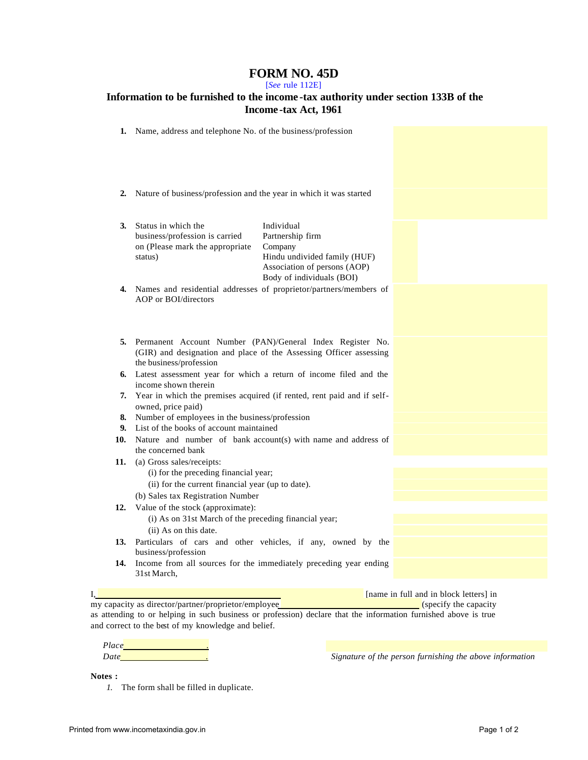## **FORM NO. 45D**

[*See* rule 112E]

| Information to be furnished to the income-tax authority under section 133B of the<br>Income-tax Act, 1961 |                                                                                                                                                            |                                                                                                                                        |  |
|-----------------------------------------------------------------------------------------------------------|------------------------------------------------------------------------------------------------------------------------------------------------------------|----------------------------------------------------------------------------------------------------------------------------------------|--|
|                                                                                                           | 1. Name, address and telephone No. of the business/profession                                                                                              |                                                                                                                                        |  |
| 2.                                                                                                        | Nature of business/profession and the year in which it was started                                                                                         |                                                                                                                                        |  |
| 3.                                                                                                        | Status in which the<br>business/profession is carried<br>on (Please mark the appropriate<br>status)                                                        | Individual<br>Partnership firm<br>Company<br>Hindu undivided family (HUF)<br>Association of persons (AOP)<br>Body of individuals (BOI) |  |
| 4.                                                                                                        | Names and residential addresses of proprietor/partners/members of<br>AOP or BOI/directors                                                                  |                                                                                                                                        |  |
| 5.                                                                                                        | Permanent Account Number (PAN)/General Index Register No.<br>(GIR) and designation and place of the Assessing Officer assessing<br>the business/profession |                                                                                                                                        |  |
|                                                                                                           | 6. Latest assessment year for which a return of income filed and the<br>income shown therein                                                               |                                                                                                                                        |  |
| 7.                                                                                                        | Year in which the premises acquired (if rented, rent paid and if self-<br>owned, price paid)                                                               |                                                                                                                                        |  |
| 8.                                                                                                        | Number of employees in the business/profession                                                                                                             |                                                                                                                                        |  |
| 9.                                                                                                        | List of the books of account maintained                                                                                                                    |                                                                                                                                        |  |
| 10.                                                                                                       | Nature and number of bank account(s) with name and address of<br>the concerned bank                                                                        |                                                                                                                                        |  |
| 11.                                                                                                       | (a) Gross sales/receipts:<br>(i) for the preceding financial year;<br>(ii) for the current financial year (up to date).                                    |                                                                                                                                        |  |
|                                                                                                           | (b) Sales tax Registration Number                                                                                                                          |                                                                                                                                        |  |
| 12.                                                                                                       | Value of the stock (approximate):                                                                                                                          |                                                                                                                                        |  |
|                                                                                                           | (i) As on 31st March of the preceding financial year;<br>(ii) As on this date.                                                                             |                                                                                                                                        |  |
| 13.                                                                                                       | Particulars of cars and other vehicles, if any, owned by the<br>business/profession                                                                        |                                                                                                                                        |  |
| 14.                                                                                                       | Income from all sources for the immediately preceding year ending                                                                                          |                                                                                                                                        |  |

31st March,

I, **I** [name in full and in block letters] in my capacity as director/partner/proprietor/employee [100] [name in full and in block letters] in my capacity as director/partner/proprietor/employee as attending to or helping in such business or profession) declare that the information furnished above is true and correct to the best of my knowledge and belief.

*Place .*

*Date Date Date CO <i>D<sub> CO <i>C C <i>CO CO CO <i>CO CO CO CO CO CO CO CO CO CO CO CO CO CO CO CO CO CO CO* </sub>

**Notes :**

*1.* The form shall be filled in duplicate.